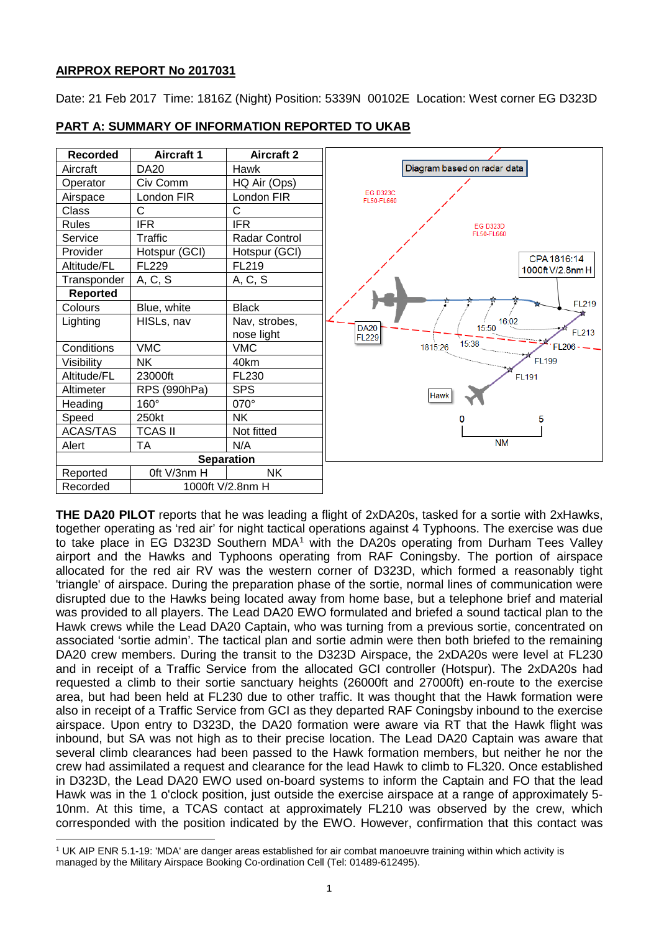## **AIRPROX REPORT No 2017031**

l

Date: 21 Feb 2017 Time: 1816Z (Night) Position: 5339N 00102E Location: West corner EG D323D



**PART A: SUMMARY OF INFORMATION REPORTED TO UKAB**

**THE DA20 PILOT** reports that he was leading a flight of 2xDA20s, tasked for a sortie with 2xHawks, together operating as 'red air' for night tactical operations against 4 Typhoons. The exercise was due to take place in EG D323D Southern MDA<sup>[1](#page-0-0)</sup> with the DA20s operating from Durham Tees Valley airport and the Hawks and Typhoons operating from RAF Coningsby. The portion of airspace allocated for the red air RV was the western corner of D323D, which formed a reasonably tight 'triangle' of airspace. During the preparation phase of the sortie, normal lines of communication were disrupted due to the Hawks being located away from home base, but a telephone brief and material was provided to all players. The Lead DA20 EWO formulated and briefed a sound tactical plan to the Hawk crews while the Lead DA20 Captain, who was turning from a previous sortie, concentrated on associated 'sortie admin'. The tactical plan and sortie admin were then both briefed to the remaining DA20 crew members. During the transit to the D323D Airspace, the 2xDA20s were level at FL230 and in receipt of a Traffic Service from the allocated GCI controller (Hotspur). The 2xDA20s had requested a climb to their sortie sanctuary heights (26000ft and 27000ft) en-route to the exercise area, but had been held at FL230 due to other traffic. It was thought that the Hawk formation were also in receipt of a Traffic Service from GCI as they departed RAF Coningsby inbound to the exercise airspace. Upon entry to D323D, the DA20 formation were aware via RT that the Hawk flight was inbound, but SA was not high as to their precise location. The Lead DA20 Captain was aware that several climb clearances had been passed to the Hawk formation members, but neither he nor the crew had assimilated a request and clearance for the lead Hawk to climb to FL320. Once established in D323D, the Lead DA20 EWO used on-board systems to inform the Captain and FO that the lead Hawk was in the 1 o'clock position, just outside the exercise airspace at a range of approximately 5- 10nm. At this time, a TCAS contact at approximately FL210 was observed by the crew, which corresponded with the position indicated by the EWO. However, confirmation that this contact was

<span id="page-0-0"></span><sup>1</sup> UK AIP ENR 5.1-19: 'MDA' are danger areas established for air combat manoeuvre training within which activity is managed by the Military Airspace Booking Co-ordination Cell (Tel: 01489-612495).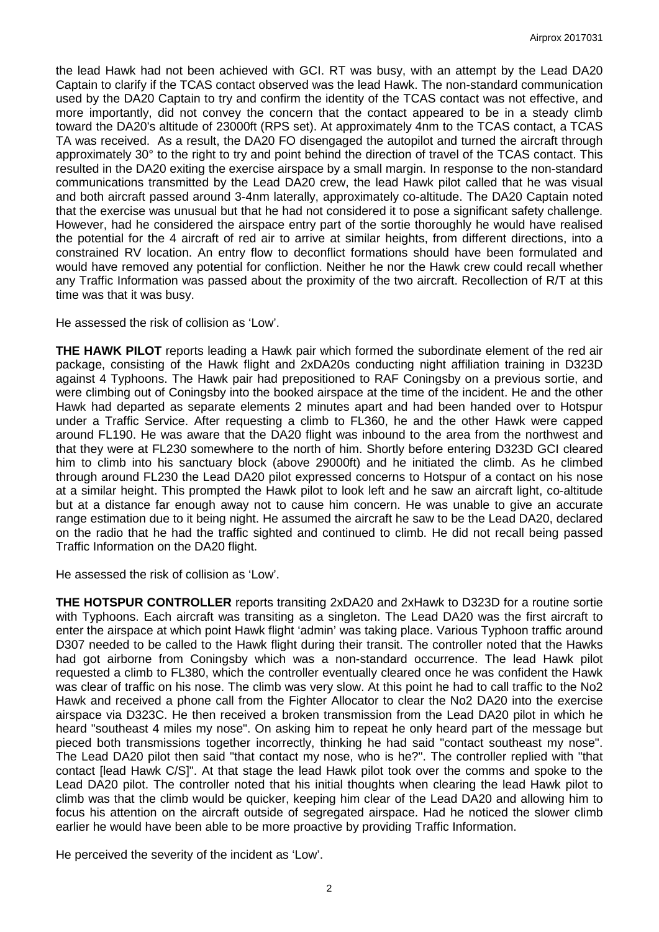the lead Hawk had not been achieved with GCI. RT was busy, with an attempt by the Lead DA20 Captain to clarify if the TCAS contact observed was the lead Hawk. The non-standard communication used by the DA20 Captain to try and confirm the identity of the TCAS contact was not effective, and more importantly, did not convey the concern that the contact appeared to be in a steady climb toward the DA20's altitude of 23000ft (RPS set). At approximately 4nm to the TCAS contact, a TCAS TA was received. As a result, the DA20 FO disengaged the autopilot and turned the aircraft through approximately 30° to the right to try and point behind the direction of travel of the TCAS contact. This resulted in the DA20 exiting the exercise airspace by a small margin. In response to the non-standard communications transmitted by the Lead DA20 crew, the lead Hawk pilot called that he was visual and both aircraft passed around 3-4nm laterally, approximately co-altitude. The DA20 Captain noted that the exercise was unusual but that he had not considered it to pose a significant safety challenge. However, had he considered the airspace entry part of the sortie thoroughly he would have realised the potential for the 4 aircraft of red air to arrive at similar heights, from different directions, into a constrained RV location. An entry flow to deconflict formations should have been formulated and would have removed any potential for confliction. Neither he nor the Hawk crew could recall whether any Traffic Information was passed about the proximity of the two aircraft. Recollection of R/T at this time was that it was busy.

He assessed the risk of collision as 'Low'.

**THE HAWK PILOT** reports leading a Hawk pair which formed the subordinate element of the red air package, consisting of the Hawk flight and 2xDA20s conducting night affiliation training in D323D against 4 Typhoons. The Hawk pair had prepositioned to RAF Coningsby on a previous sortie, and were climbing out of Coningsby into the booked airspace at the time of the incident. He and the other Hawk had departed as separate elements 2 minutes apart and had been handed over to Hotspur under a Traffic Service. After requesting a climb to FL360, he and the other Hawk were capped around FL190. He was aware that the DA20 flight was inbound to the area from the northwest and that they were at FL230 somewhere to the north of him. Shortly before entering D323D GCI cleared him to climb into his sanctuary block (above 29000ft) and he initiated the climb. As he climbed through around FL230 the Lead DA20 pilot expressed concerns to Hotspur of a contact on his nose at a similar height. This prompted the Hawk pilot to look left and he saw an aircraft light, co-altitude but at a distance far enough away not to cause him concern. He was unable to give an accurate range estimation due to it being night. He assumed the aircraft he saw to be the Lead DA20, declared on the radio that he had the traffic sighted and continued to climb. He did not recall being passed Traffic Information on the DA20 flight.

He assessed the risk of collision as 'Low'.

**THE HOTSPUR CONTROLLER** reports transiting 2xDA20 and 2xHawk to D323D for a routine sortie with Typhoons. Each aircraft was transiting as a singleton. The Lead DA20 was the first aircraft to enter the airspace at which point Hawk flight 'admin' was taking place. Various Typhoon traffic around D307 needed to be called to the Hawk flight during their transit. The controller noted that the Hawks had got airborne from Coningsby which was a non-standard occurrence. The lead Hawk pilot requested a climb to FL380, which the controller eventually cleared once he was confident the Hawk was clear of traffic on his nose. The climb was very slow. At this point he had to call traffic to the No2 Hawk and received a phone call from the Fighter Allocator to clear the No2 DA20 into the exercise airspace via D323C. He then received a broken transmission from the Lead DA20 pilot in which he heard "southeast 4 miles my nose". On asking him to repeat he only heard part of the message but pieced both transmissions together incorrectly, thinking he had said "contact southeast my nose". The Lead DA20 pilot then said "that contact my nose, who is he?". The controller replied with "that contact [lead Hawk C/S]". At that stage the lead Hawk pilot took over the comms and spoke to the Lead DA20 pilot. The controller noted that his initial thoughts when clearing the lead Hawk pilot to climb was that the climb would be quicker, keeping him clear of the Lead DA20 and allowing him to focus his attention on the aircraft outside of segregated airspace. Had he noticed the slower climb earlier he would have been able to be more proactive by providing Traffic Information.

He perceived the severity of the incident as 'Low'.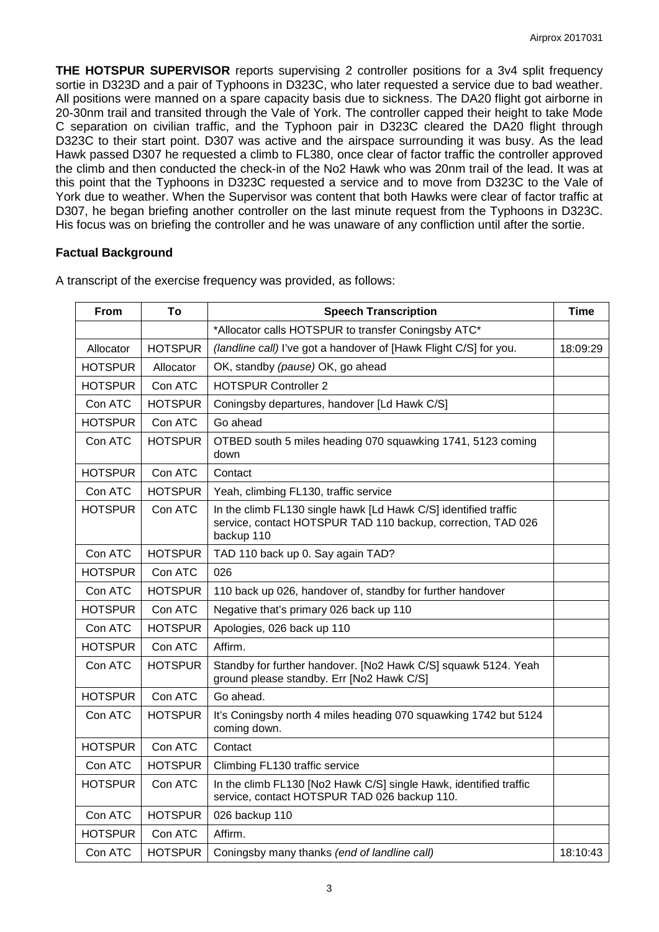**THE HOTSPUR SUPERVISOR** reports supervising 2 controller positions for a 3v4 split frequency sortie in D323D and a pair of Typhoons in D323C, who later requested a service due to bad weather. All positions were manned on a spare capacity basis due to sickness. The DA20 flight got airborne in 20-30nm trail and transited through the Vale of York. The controller capped their height to take Mode C separation on civilian traffic, and the Typhoon pair in D323C cleared the DA20 flight through D323C to their start point. D307 was active and the airspace surrounding it was busy. As the lead Hawk passed D307 he requested a climb to FL380, once clear of factor traffic the controller approved the climb and then conducted the check-in of the No2 Hawk who was 20nm trail of the lead. It was at this point that the Typhoons in D323C requested a service and to move from D323C to the Vale of York due to weather. When the Supervisor was content that both Hawks were clear of factor traffic at D307, he began briefing another controller on the last minute request from the Typhoons in D323C. His focus was on briefing the controller and he was unaware of any confliction until after the sortie.

#### **Factual Background**

| From           | Τo             | <b>Speech Transcription</b>                                                                                                                   | <b>Time</b> |
|----------------|----------------|-----------------------------------------------------------------------------------------------------------------------------------------------|-------------|
|                |                | *Allocator calls HOTSPUR to transfer Coningsby ATC*                                                                                           |             |
| Allocator      | <b>HOTSPUR</b> | (landline call) I've got a handover of [Hawk Flight C/S] for you.                                                                             | 18:09:29    |
| HOTSPUR        | Allocator      | OK, standby (pause) OK, go ahead                                                                                                              |             |
| HOTSPUR        | Con ATC        | <b>HOTSPUR Controller 2</b>                                                                                                                   |             |
| Con ATC        | <b>HOTSPUR</b> | Coningsby departures, handover [Ld Hawk C/S]                                                                                                  |             |
| <b>HOTSPUR</b> | Con ATC        | Go ahead                                                                                                                                      |             |
| Con ATC        | <b>HOTSPUR</b> | OTBED south 5 miles heading 070 squawking 1741, 5123 coming<br>down                                                                           |             |
| <b>HOTSPUR</b> | Con ATC        | Contact                                                                                                                                       |             |
| Con ATC        | <b>HOTSPUR</b> | Yeah, climbing FL130, traffic service                                                                                                         |             |
| <b>HOTSPUR</b> | Con ATC        | In the climb FL130 single hawk [Ld Hawk C/S] identified traffic<br>service, contact HOTSPUR TAD 110 backup, correction, TAD 026<br>backup 110 |             |
| Con ATC        | <b>HOTSPUR</b> | TAD 110 back up 0. Say again TAD?                                                                                                             |             |
| <b>HOTSPUR</b> | Con ATC        | 026                                                                                                                                           |             |
| Con ATC        | <b>HOTSPUR</b> | 110 back up 026, handover of, standby for further handover                                                                                    |             |
| <b>HOTSPUR</b> | Con ATC        | Negative that's primary 026 back up 110                                                                                                       |             |
| Con ATC        | <b>HOTSPUR</b> | Apologies, 026 back up 110                                                                                                                    |             |
| <b>HOTSPUR</b> | Con ATC        | Affirm.                                                                                                                                       |             |
| Con ATC        | <b>HOTSPUR</b> | Standby for further handover. [No2 Hawk C/S] squawk 5124. Yeah<br>ground please standby. Err [No2 Hawk C/S]                                   |             |
| <b>HOTSPUR</b> | Con ATC        | Go ahead.                                                                                                                                     |             |
| Con ATC        | <b>HOTSPUR</b> | It's Coningsby north 4 miles heading 070 squawking 1742 but 5124<br>coming down.                                                              |             |
| <b>HOTSPUR</b> | Con ATC        | Contact                                                                                                                                       |             |
| Con ATC        | <b>HOTSPUR</b> | Climbing FL130 traffic service                                                                                                                |             |
| <b>HOTSPUR</b> | Con ATC        | In the climb FL130 [No2 Hawk C/S] single Hawk, identified traffic<br>service, contact HOTSPUR TAD 026 backup 110.                             |             |
| Con ATC        | <b>HOTSPUR</b> | 026 backup 110                                                                                                                                |             |
| <b>HOTSPUR</b> | Con ATC        | Affirm.                                                                                                                                       |             |
| Con ATC        | <b>HOTSPUR</b> | Coningsby many thanks (end of landline call)                                                                                                  | 18:10:43    |

A transcript of the exercise frequency was provided, as follows: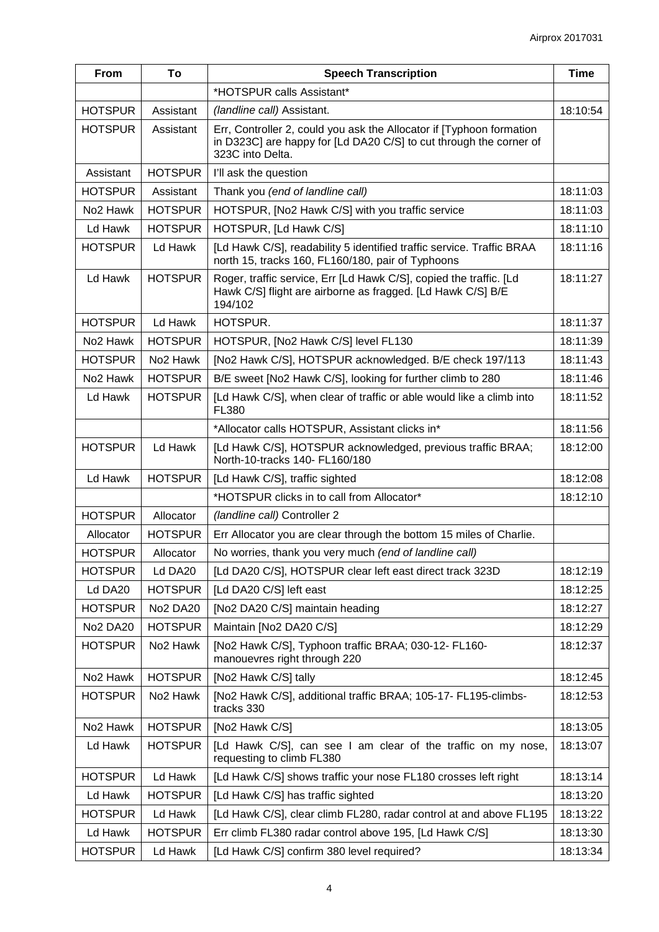| From                 | To                   | <b>Speech Transcription</b>                                                                                                                                    | <b>Time</b> |
|----------------------|----------------------|----------------------------------------------------------------------------------------------------------------------------------------------------------------|-------------|
|                      |                      | *HOTSPUR calls Assistant*                                                                                                                                      |             |
| <b>HOTSPUR</b>       | Assistant            | (landline call) Assistant.                                                                                                                                     | 18:10:54    |
| <b>HOTSPUR</b>       | Assistant            | Err, Controller 2, could you ask the Allocator if [Typhoon formation<br>in D323C] are happy for [Ld DA20 C/S] to cut through the corner of<br>323C into Delta. |             |
| Assistant            | <b>HOTSPUR</b>       | I'll ask the question                                                                                                                                          |             |
| <b>HOTSPUR</b>       | Assistant            | Thank you (end of landline call)                                                                                                                               | 18:11:03    |
| No <sub>2</sub> Hawk | <b>HOTSPUR</b>       | HOTSPUR, [No2 Hawk C/S] with you traffic service                                                                                                               | 18:11:03    |
| Ld Hawk              | <b>HOTSPUR</b>       | HOTSPUR, [Ld Hawk C/S]                                                                                                                                         | 18:11:10    |
| <b>HOTSPUR</b>       | Ld Hawk              | [Ld Hawk C/S], readability 5 identified traffic service. Traffic BRAA<br>north 15, tracks 160, FL160/180, pair of Typhoons                                     | 18:11:16    |
| Ld Hawk              | <b>HOTSPUR</b>       | Roger, traffic service, Err [Ld Hawk C/S], copied the traffic. [Ld<br>Hawk C/S] flight are airborne as fragged. [Ld Hawk C/S] B/E<br>194/102                   | 18:11:27    |
| <b>HOTSPUR</b>       | Ld Hawk              | HOTSPUR.                                                                                                                                                       | 18:11:37    |
| No <sub>2</sub> Hawk | <b>HOTSPUR</b>       | HOTSPUR, [No2 Hawk C/S] level FL130                                                                                                                            | 18:11:39    |
| <b>HOTSPUR</b>       | No <sub>2</sub> Hawk | [No2 Hawk C/S], HOTSPUR acknowledged. B/E check 197/113                                                                                                        | 18:11:43    |
| No <sub>2</sub> Hawk | <b>HOTSPUR</b>       | B/E sweet [No2 Hawk C/S], looking for further climb to 280                                                                                                     | 18:11:46    |
| Ld Hawk              | <b>HOTSPUR</b>       | [Ld Hawk C/S], when clear of traffic or able would like a climb into<br>FL380                                                                                  | 18:11:52    |
|                      |                      | *Allocator calls HOTSPUR, Assistant clicks in*                                                                                                                 | 18:11:56    |
| <b>HOTSPUR</b>       | Ld Hawk              | [Ld Hawk C/S], HOTSPUR acknowledged, previous traffic BRAA;<br>North-10-tracks 140- FL160/180                                                                  | 18:12:00    |
| Ld Hawk              | <b>HOTSPUR</b>       | [Ld Hawk C/S], traffic sighted                                                                                                                                 | 18:12:08    |
|                      |                      | *HOTSPUR clicks in to call from Allocator*                                                                                                                     | 18:12:10    |
| <b>HOTSPUR</b>       | Allocator            | (landline call) Controller 2                                                                                                                                   |             |
| Allocator            | <b>HOTSPUR</b>       | Err Allocator you are clear through the bottom 15 miles of Charlie.                                                                                            |             |
| <b>HOTSPUR</b>       | Allocator            | No worries, thank you very much (end of landline call)                                                                                                         |             |
| <b>HOTSPUR</b>       | Ld DA20              | [Ld DA20 C/S], HOTSPUR clear left east direct track 323D                                                                                                       | 18:12:19    |
| Ld DA20              | <b>HOTSPUR</b>       | [Ld DA20 C/S] left east                                                                                                                                        | 18:12:25    |
| <b>HOTSPUR</b>       | <b>No2 DA20</b>      | [No2 DA20 C/S] maintain heading                                                                                                                                | 18:12:27    |
| <b>No2 DA20</b>      | <b>HOTSPUR</b>       | Maintain [No2 DA20 C/S]                                                                                                                                        | 18:12:29    |
| <b>HOTSPUR</b>       | No <sub>2</sub> Hawk | [No2 Hawk C/S], Typhoon traffic BRAA; 030-12- FL160-<br>manouevres right through 220                                                                           | 18:12:37    |
| No <sub>2</sub> Hawk | <b>HOTSPUR</b>       | [No2 Hawk C/S] tally                                                                                                                                           | 18:12:45    |
| <b>HOTSPUR</b>       | No <sub>2</sub> Hawk | [No2 Hawk C/S], additional traffic BRAA; 105-17- FL195-climbs-<br>tracks 330                                                                                   | 18:12:53    |
| No <sub>2</sub> Hawk | <b>HOTSPUR</b>       | [No2 Hawk C/S]                                                                                                                                                 | 18:13:05    |
| Ld Hawk              | <b>HOTSPUR</b>       | [Ld Hawk C/S], can see I am clear of the traffic on my nose,<br>requesting to climb FL380                                                                      | 18:13:07    |
| <b>HOTSPUR</b>       | Ld Hawk              | [Ld Hawk C/S] shows traffic your nose FL180 crosses left right                                                                                                 | 18:13:14    |
| Ld Hawk              | <b>HOTSPUR</b>       | [Ld Hawk C/S] has traffic sighted                                                                                                                              | 18:13:20    |
| <b>HOTSPUR</b>       | Ld Hawk              | [Ld Hawk C/S], clear climb FL280, radar control at and above FL195                                                                                             | 18:13:22    |
| Ld Hawk              | <b>HOTSPUR</b>       | Err climb FL380 radar control above 195, [Ld Hawk C/S]                                                                                                         | 18:13:30    |
| <b>HOTSPUR</b>       | Ld Hawk              | [Ld Hawk C/S] confirm 380 level required?                                                                                                                      | 18:13:34    |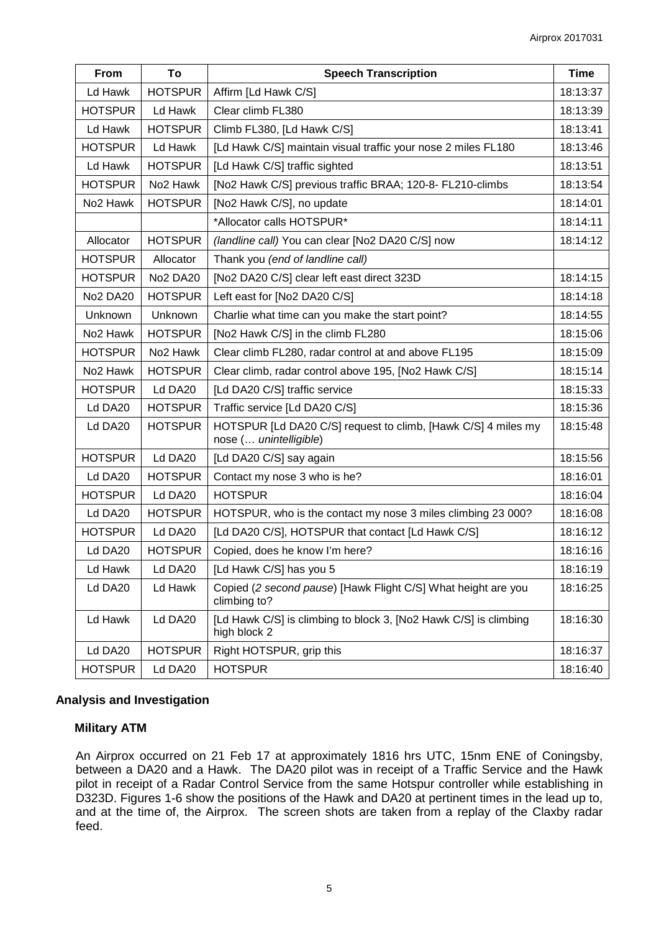| From                 | To                   | <b>Speech Transcription</b>                                                             | <b>Time</b> |
|----------------------|----------------------|-----------------------------------------------------------------------------------------|-------------|
| Ld Hawk              | <b>HOTSPUR</b>       | Affirm [Ld Hawk C/S]                                                                    | 18:13:37    |
| <b>HOTSPUR</b>       | Ld Hawk              | Clear climb FL380                                                                       | 18:13:39    |
| Ld Hawk              | <b>HOTSPUR</b>       | Climb FL380, [Ld Hawk C/S]                                                              | 18:13:41    |
| <b>HOTSPUR</b>       | Ld Hawk              | [Ld Hawk C/S] maintain visual traffic your nose 2 miles FL180                           | 18:13:46    |
| Ld Hawk              | <b>HOTSPUR</b>       | [Ld Hawk C/S] traffic sighted                                                           | 18:13:51    |
| <b>HOTSPUR</b>       | No <sub>2</sub> Hawk | [No2 Hawk C/S] previous traffic BRAA; 120-8- FL210-climbs                               | 18:13:54    |
| No <sub>2</sub> Hawk | <b>HOTSPUR</b>       | [No2 Hawk C/S], no update                                                               | 18:14:01    |
|                      |                      | *Allocator calls HOTSPUR*                                                               | 18:14:11    |
| Allocator            | <b>HOTSPUR</b>       | (landline call) You can clear [No2 DA20 C/S] now                                        | 18:14:12    |
| <b>HOTSPUR</b>       | Allocator            | Thank you (end of landline call)                                                        |             |
| <b>HOTSPUR</b>       | <b>No2 DA20</b>      | [No2 DA20 C/S] clear left east direct 323D                                              | 18:14:15    |
| <b>No2 DA20</b>      | <b>HOTSPUR</b>       | Left east for [No2 DA20 C/S]                                                            | 18:14:18    |
| Unknown              | <b>Unknown</b>       | Charlie what time can you make the start point?                                         | 18:14:55    |
| No <sub>2</sub> Hawk | <b>HOTSPUR</b>       | [No2 Hawk C/S] in the climb FL280                                                       | 18:15:06    |
| <b>HOTSPUR</b>       | No <sub>2</sub> Hawk | Clear climb FL280, radar control at and above FL195                                     | 18:15:09    |
| No <sub>2</sub> Hawk | <b>HOTSPUR</b>       | Clear climb, radar control above 195, [No2 Hawk C/S]                                    | 18:15:14    |
| <b>HOTSPUR</b>       | Ld DA20              | [Ld DA20 C/S] traffic service                                                           | 18:15:33    |
| Ld DA <sub>20</sub>  | <b>HOTSPUR</b>       | Traffic service [Ld DA20 C/S]                                                           | 18:15:36    |
| Ld DA20              | <b>HOTSPUR</b>       | HOTSPUR [Ld DA20 C/S] request to climb, [Hawk C/S] 4 miles my<br>nose ( unintelligible) | 18:15:48    |
| <b>HOTSPUR</b>       | Ld DA20              | [Ld DA20 C/S] say again                                                                 | 18:15:56    |
| Ld DA20              | <b>HOTSPUR</b>       | Contact my nose 3 who is he?                                                            | 18:16:01    |
| <b>HOTSPUR</b>       | Ld DA20              | <b>HOTSPUR</b>                                                                          | 18:16:04    |
| Ld DA20              | <b>HOTSPUR</b>       | HOTSPUR, who is the contact my nose 3 miles climbing 23 000?                            | 18:16:08    |
| <b>HOTSPUR</b>       | Ld DA20              | [Ld DA20 C/S], HOTSPUR that contact [Ld Hawk C/S]                                       | 18:16:12    |
| Ld DA20              | <b>HOTSPUR</b>       | Copied, does he know I'm here?                                                          | 18:16:16    |
| Ld Hawk              | Ld DA20              | [Ld Hawk C/S] has you 5                                                                 | 18:16:19    |
| Ld DA20              | Ld Hawk              | Copied (2 second pause) [Hawk Flight C/S] What height are you<br>climbing to?           | 18:16:25    |
| Ld Hawk              | Ld DA20              | [Ld Hawk C/S] is climbing to block 3, [No2 Hawk C/S] is climbing<br>high block 2        | 18:16:30    |
| Ld DA20              | <b>HOTSPUR</b>       | Right HOTSPUR, grip this                                                                | 18:16:37    |
| <b>HOTSPUR</b>       | Ld DA20              | <b>HOTSPUR</b>                                                                          | 18:16:40    |

#### **Analysis and Investigation**

#### **Military ATM**

An Airprox occurred on 21 Feb 17 at approximately 1816 hrs UTC, 15nm ENE of Coningsby, between a DA20 and a Hawk. The DA20 pilot was in receipt of a Traffic Service and the Hawk pilot in receipt of a Radar Control Service from the same Hotspur controller while establishing in D323D. Figures 1-6 show the positions of the Hawk and DA20 at pertinent times in the lead up to, and at the time of, the Airprox. The screen shots are taken from a replay of the Claxby radar feed.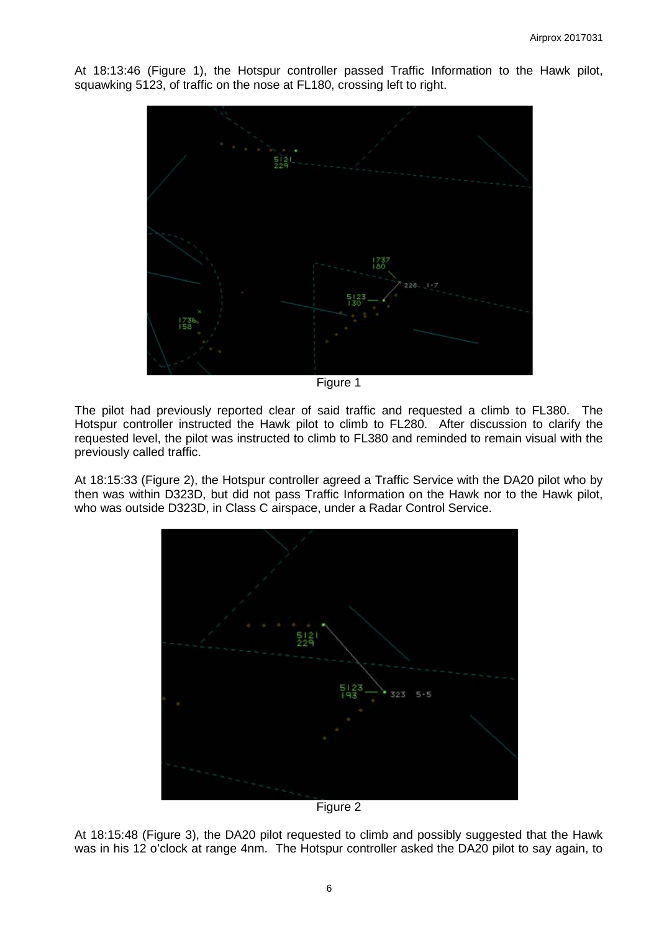At 18:13:46 (Figure 1), the Hotspur controller passed Traffic Information to the Hawk pilot, squawking 5123, of traffic on the nose at FL180, crossing left to right.



Figure 1

The pilot had previously reported clear of said traffic and requested a climb to FL380. The Hotspur controller instructed the Hawk pilot to climb to FL280. After discussion to clarify the requested level, the pilot was instructed to climb to FL380 and reminded to remain visual with the previously called traffic.

At 18:15:33 (Figure 2), the Hotspur controller agreed a Traffic Service with the DA20 pilot who by then was within D323D, but did not pass Traffic Information on the Hawk nor to the Hawk pilot, who was outside D323D, in Class C airspace, under a Radar Control Service.



Figure 2

At 18:15:48 (Figure 3), the DA20 pilot requested to climb and possibly suggested that the Hawk was in his 12 o'clock at range 4nm. The Hotspur controller asked the DA20 pilot to say again, to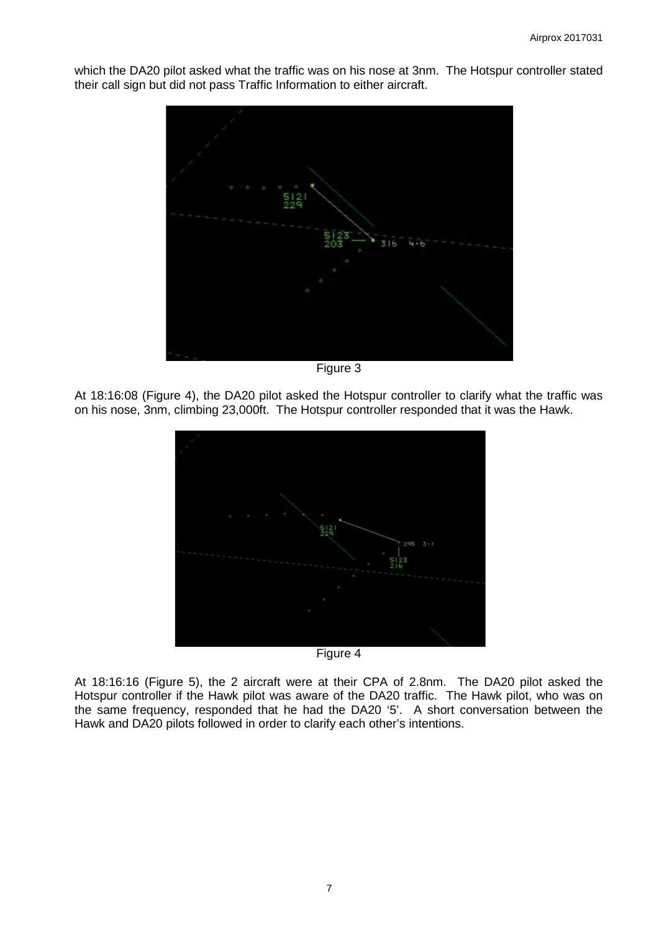which the DA20 pilot asked what the traffic was on his nose at 3nm. The Hotspur controller stated their call sign but did not pass Traffic Information to either aircraft.



Figure 3

At 18:16:08 (Figure 4), the DA20 pilot asked the Hotspur controller to clarify what the traffic was on his nose, 3nm, climbing 23,000ft. The Hotspur controller responded that it was the Hawk.



At 18:16:16 (Figure 5), the 2 aircraft were at their CPA of 2.8nm. The DA20 pilot asked the Hotspur controller if the Hawk pilot was aware of the DA20 traffic. The Hawk pilot, who was on the same frequency, responded that he had the DA20 '5'. A short conversation between the Hawk and DA20 pilots followed in order to clarify each other's intentions.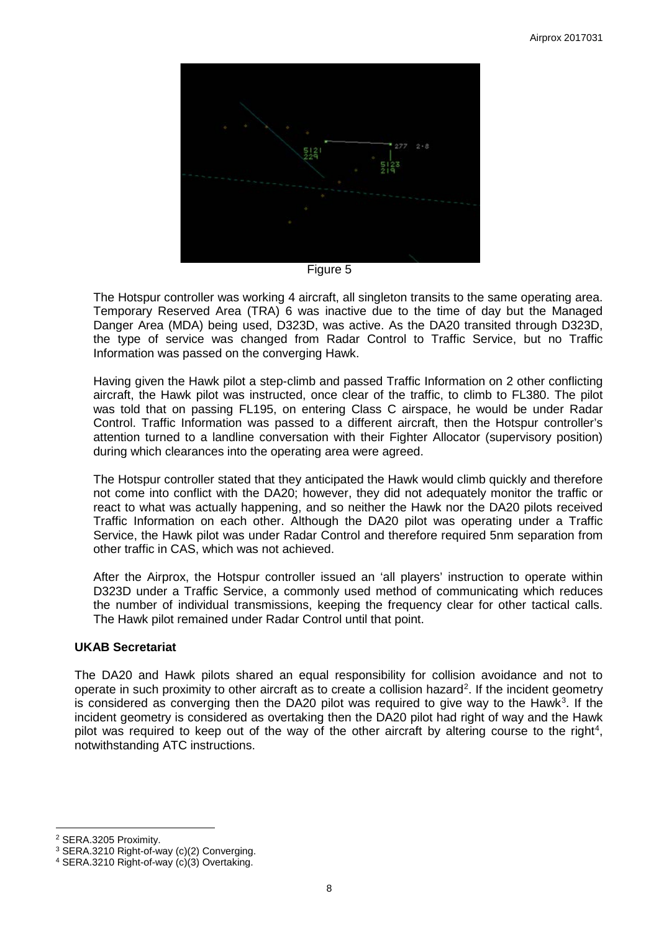

Figure 5

The Hotspur controller was working 4 aircraft, all singleton transits to the same operating area. Temporary Reserved Area (TRA) 6 was inactive due to the time of day but the Managed Danger Area (MDA) being used, D323D, was active. As the DA20 transited through D323D, the type of service was changed from Radar Control to Traffic Service, but no Traffic Information was passed on the converging Hawk.

Having given the Hawk pilot a step-climb and passed Traffic Information on 2 other conflicting aircraft, the Hawk pilot was instructed, once clear of the traffic, to climb to FL380. The pilot was told that on passing FL195, on entering Class C airspace, he would be under Radar Control. Traffic Information was passed to a different aircraft, then the Hotspur controller's attention turned to a landline conversation with their Fighter Allocator (supervisory position) during which clearances into the operating area were agreed.

The Hotspur controller stated that they anticipated the Hawk would climb quickly and therefore not come into conflict with the DA20; however, they did not adequately monitor the traffic or react to what was actually happening, and so neither the Hawk nor the DA20 pilots received Traffic Information on each other. Although the DA20 pilot was operating under a Traffic Service, the Hawk pilot was under Radar Control and therefore required 5nm separation from other traffic in CAS, which was not achieved.

After the Airprox, the Hotspur controller issued an 'all players' instruction to operate within D323D under a Traffic Service, a commonly used method of communicating which reduces the number of individual transmissions, keeping the frequency clear for other tactical calls. The Hawk pilot remained under Radar Control until that point.

## **UKAB Secretariat**

The DA20 and Hawk pilots shared an equal responsibility for collision avoidance and not to operate in such proximity to other aircraft as to create a collision hazard<sup>[2](#page-7-0)</sup>. If the incident geometry is considered as converging then the DA20 pilot was required to give way to the Hawk<sup>[3](#page-7-1)</sup>. If the incident geometry is considered as overtaking then the DA20 pilot had right of way and the Hawk pilot was required to keep out of the way of the other aircraft by altering course to the right<sup>[4](#page-7-2)</sup>, notwithstanding ATC instructions.

 $\overline{\phantom{a}}$ <sup>2</sup> SERA.3205 Proximity.

<span id="page-7-1"></span><span id="page-7-0"></span><sup>3</sup> SERA.3210 Right-of-way (c)(2) Converging.

<span id="page-7-2"></span><sup>4</sup> SERA.3210 Right-of-way (c)(3) Overtaking.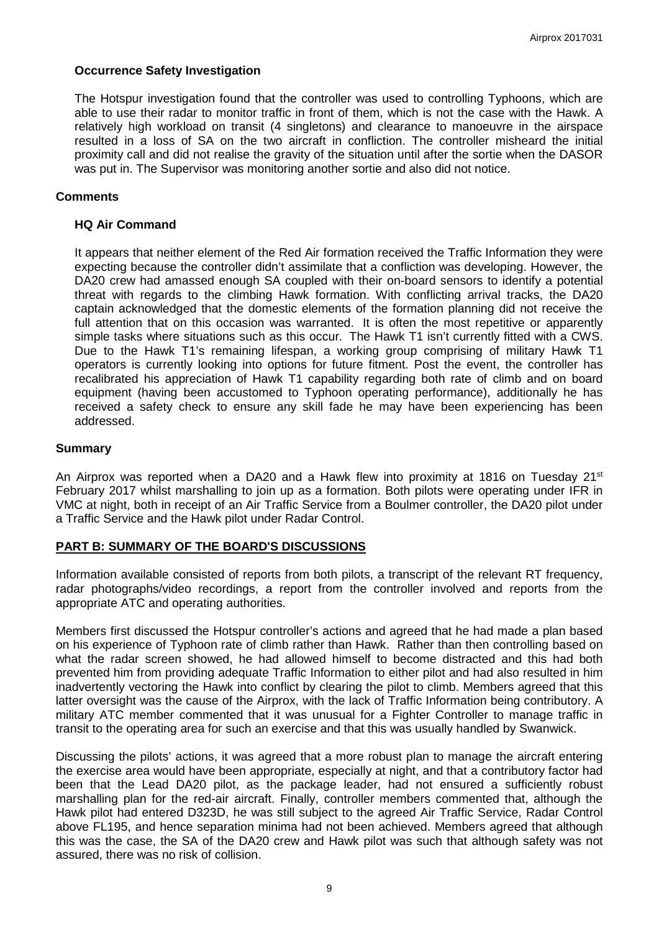### **Occurrence Safety Investigation**

The Hotspur investigation found that the controller was used to controlling Typhoons, which are able to use their radar to monitor traffic in front of them, which is not the case with the Hawk. A relatively high workload on transit (4 singletons) and clearance to manoeuvre in the airspace resulted in a loss of SA on the two aircraft in confliction. The controller misheard the initial proximity call and did not realise the gravity of the situation until after the sortie when the DASOR was put in. The Supervisor was monitoring another sortie and also did not notice.

#### **Comments**

#### **HQ Air Command**

It appears that neither element of the Red Air formation received the Traffic Information they were expecting because the controller didn't assimilate that a confliction was developing. However, the DA20 crew had amassed enough SA coupled with their on-board sensors to identify a potential threat with regards to the climbing Hawk formation. With conflicting arrival tracks, the DA20 captain acknowledged that the domestic elements of the formation planning did not receive the full attention that on this occasion was warranted. It is often the most repetitive or apparently simple tasks where situations such as this occur. The Hawk T1 isn't currently fitted with a CWS. Due to the Hawk T1's remaining lifespan, a working group comprising of military Hawk T1 operators is currently looking into options for future fitment. Post the event, the controller has recalibrated his appreciation of Hawk T1 capability regarding both rate of climb and on board equipment (having been accustomed to Typhoon operating performance), additionally he has received a safety check to ensure any skill fade he may have been experiencing has been addressed.

#### **Summary**

An Airprox was reported when a DA20 and a Hawk flew into proximity at 1816 on Tuesday 21<sup>st</sup> February 2017 whilst marshalling to join up as a formation. Both pilots were operating under IFR in VMC at night, both in receipt of an Air Traffic Service from a Boulmer controller, the DA20 pilot under a Traffic Service and the Hawk pilot under Radar Control.

## **PART B: SUMMARY OF THE BOARD'S DISCUSSIONS**

Information available consisted of reports from both pilots, a transcript of the relevant RT frequency, radar photographs/video recordings, a report from the controller involved and reports from the appropriate ATC and operating authorities.

Members first discussed the Hotspur controller's actions and agreed that he had made a plan based on his experience of Typhoon rate of climb rather than Hawk. Rather than then controlling based on what the radar screen showed, he had allowed himself to become distracted and this had both prevented him from providing adequate Traffic Information to either pilot and had also resulted in him inadvertently vectoring the Hawk into conflict by clearing the pilot to climb. Members agreed that this latter oversight was the cause of the Airprox, with the lack of Traffic Information being contributory. A military ATC member commented that it was unusual for a Fighter Controller to manage traffic in transit to the operating area for such an exercise and that this was usually handled by Swanwick.

Discussing the pilots' actions, it was agreed that a more robust plan to manage the aircraft entering the exercise area would have been appropriate, especially at night, and that a contributory factor had been that the Lead DA20 pilot, as the package leader, had not ensured a sufficiently robust marshalling plan for the red-air aircraft. Finally, controller members commented that, although the Hawk pilot had entered D323D, he was still subject to the agreed Air Traffic Service, Radar Control above FL195, and hence separation minima had not been achieved. Members agreed that although this was the case, the SA of the DA20 crew and Hawk pilot was such that although safety was not assured, there was no risk of collision.